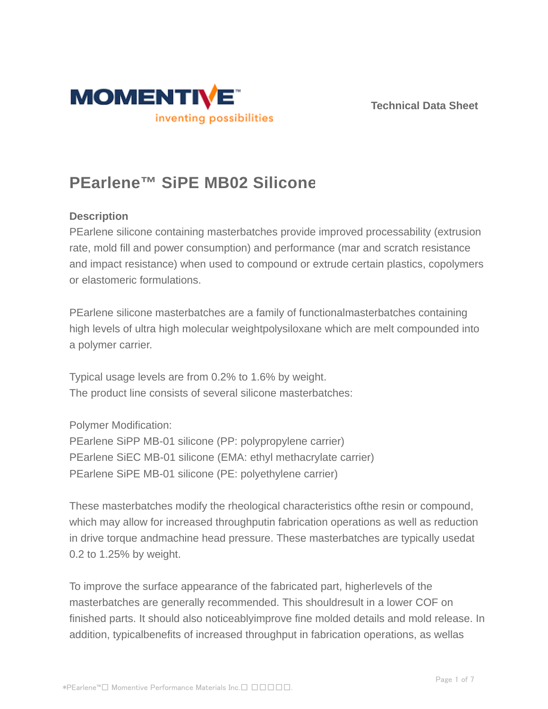



# **PEarlene™ SiPE MB02 Silicone**

## **Description**

PEarlene silicone containing masterbatches provide improved processability (extrusion rate, mold fill and power consumption) and performance (mar and scratch resistance and impact resistance) when used to compound or extrude certain plastics, copolymers or elastomeric formulations.

PEarlene silicone masterbatches are a family of functionalmasterbatches containing high levels of ultra high molecular weightpolysiloxane which are melt compounded into a polymer carrier.

Typical usage levels are from 0.2% to 1.6% by weight. The product line consists of several silicone masterbatches:

Polymer Modification:

PEarlene SiPP MB-01 silicone (PP: polypropylene carrier) PEarlene SiEC MB-01 silicone (EMA: ethyl methacrylate carrier) PEarlene SiPE MB-01 silicone (PE: polyethylene carrier)

These masterbatches modify the rheological characteristics ofthe resin or compound, which may allow for increased throughputin fabrication operations as well as reduction in drive torque andmachine head pressure. These masterbatches are typically usedat 0.2 to 1.25% by weight.

To improve the surface appearance of the fabricated part, higherlevels of the masterbatches are generally recommended. This shouldresult in a lower COF on finished parts. It should also noticeablyimprove fine molded details and mold release. In addition, typicalbenefits of increased throughput in fabrication operations, as wellas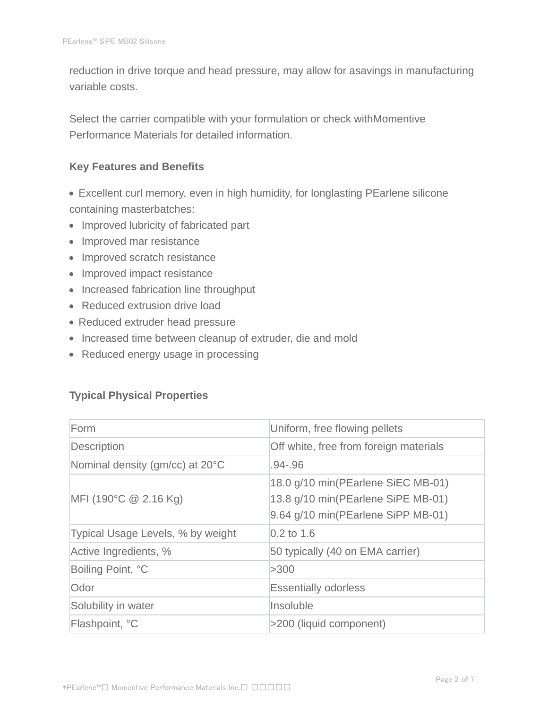reduction in drive torque and head pressure, may allow for asavings in manufacturing variable costs.

Select the carrier compatible with your formulation or check withMomentive Performance Materials for detailed information.

#### **Key Features and Benefits**

- Excellent curl memory, even in high humidity, for longlasting PEarlene silicone containing masterbatches:
- Improved lubricity of fabricated part
- Improved mar resistance
- Improved scratch resistance
- Improved impact resistance
- Increased fabrication line throughput
- Reduced extrusion drive load
- Reduced extruder head pressure
- Increased time between cleanup of extruder, die and mold
- Reduced energy usage in processing

## **Typical Physical Properties**

| Form                              | Uniform, free flowing pellets                                                                                  |  |
|-----------------------------------|----------------------------------------------------------------------------------------------------------------|--|
| Description                       | Off white, free from foreign materials                                                                         |  |
| Nominal density (gm/cc) at 20°C   | $.94 - .96$                                                                                                    |  |
| MFI (190°C $@$ 2.16 Kg)           | 18.0 g/10 min(PEarlene SiEC MB-01)<br>13.8 g/10 min(PEarlene SiPE MB-01)<br>9.64 g/10 min(PEarlene SiPP MB-01) |  |
| Typical Usage Levels, % by weight | $0.2$ to 1.6                                                                                                   |  |
| Active Ingredients, %             | 50 typically (40 on EMA carrier)                                                                               |  |
| Boiling Point, °C                 | >300                                                                                                           |  |
| Odor                              | <b>Essentially odorless</b>                                                                                    |  |
| Solubility in water               | Insoluble                                                                                                      |  |
| Flashpoint, °C                    | >200 (liquid component)                                                                                        |  |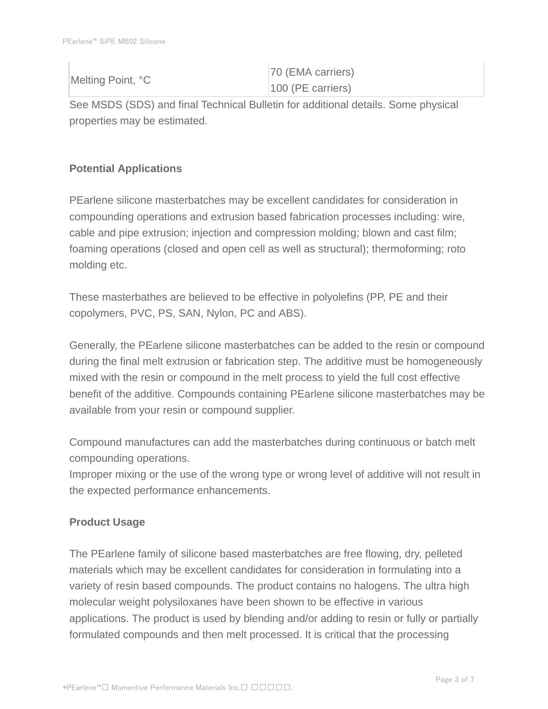|  | Melting Point, °C   | 70 (EMA carriers) |
|--|---------------------|-------------------|
|  | $100$ (PE carriers) |                   |

See MSDS (SDS) and final Technical Bulletin for additional details. Some physical properties may be estimated.

# **Potential Applications**

PEarlene silicone masterbatches may be excellent candidates for consideration in compounding operations and extrusion based fabrication processes including: wire, cable and pipe extrusion; injection and compression molding; blown and cast film; foaming operations (closed and open cell as well as structural); thermoforming; roto molding etc.

These masterbathes are believed to be effective in polyolefins (PP, PE and their copolymers, PVC, PS, SAN, Nylon, PC and ABS).

Generally, the PEarlene silicone masterbatches can be added to the resin or compound during the final melt extrusion or fabrication step. The additive must be homogeneously mixed with the resin or compound in the melt process to yield the full cost effective benefit of the additive. Compounds containing PEarlene silicone masterbatches may be available from your resin or compound supplier.

Compound manufactures can add the masterbatches during continuous or batch melt compounding operations.

Improper mixing or the use of the wrong type or wrong level of additive will not result in the expected performance enhancements.

# **Product Usage**

The PEarlene family of silicone based masterbatches are free flowing, dry, pelleted materials which may be excellent candidates for consideration in formulating into a variety of resin based compounds. The product contains no halogens. The ultra high molecular weight polysiloxanes have been shown to be effective in various applications. The product is used by blending and/or adding to resin or fully or partially formulated compounds and then melt processed. It is critical that the processing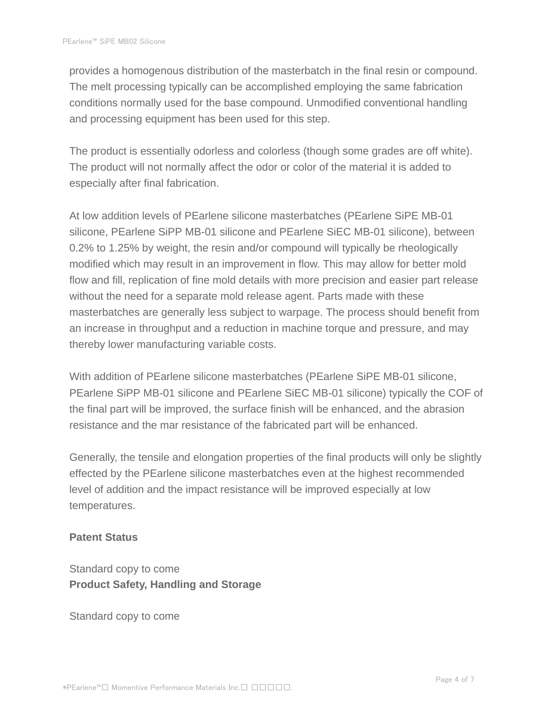provides a homogenous distribution of the masterbatch in the final resin or compound. The melt processing typically can be accomplished employing the same fabrication conditions normally used for the base compound. Unmodified conventional handling and processing equipment has been used for this step.

The product is essentially odorless and colorless (though some grades are off white). The product will not normally affect the odor or color of the material it is added to especially after final fabrication.

At low addition levels of PEarlene silicone masterbatches (PEarlene SiPE MB-01 silicone, PEarlene SiPP MB-01 silicone and PEarlene SiEC MB-01 silicone), between 0.2% to 1.25% by weight, the resin and/or compound will typically be rheologically modified which may result in an improvement in flow. This may allow for better mold flow and fill, replication of fine mold details with more precision and easier part release without the need for a separate mold release agent. Parts made with these masterbatches are generally less subject to warpage. The process should benefit from an increase in throughput and a reduction in machine torque and pressure, and may thereby lower manufacturing variable costs.

With addition of PEarlene silicone masterbatches (PEarlene SiPE MB-01 silicone, PEarlene SiPP MB-01 silicone and PEarlene SiEC MB-01 silicone) typically the COF of the final part will be improved, the surface finish will be enhanced, and the abrasion resistance and the mar resistance of the fabricated part will be enhanced.

Generally, the tensile and elongation properties of the final products will only be slightly effected by the PEarlene silicone masterbatches even at the highest recommended level of addition and the impact resistance will be improved especially at low temperatures.

#### **Patent Status**

Standard copy to come **Product Safety, Handling and Storage**

Standard copy to come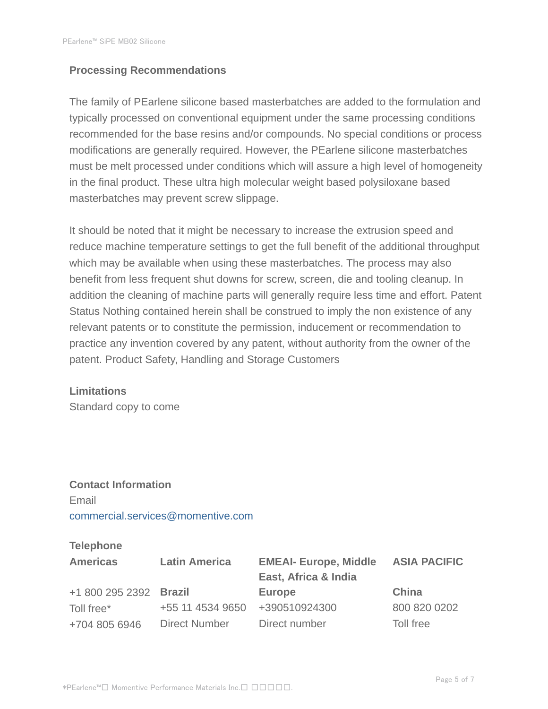#### **Processing Recommendations**

The family of PEarlene silicone based masterbatches are added to the formulation and typically processed on conventional equipment under the same processing conditions recommended for the base resins and/or compounds. No special conditions or process modifications are generally required. However, the PEarlene silicone masterbatches must be melt processed under conditions which will assure a high level of homogeneity in the final product. These ultra high molecular weight based polysiloxane based masterbatches may prevent screw slippage.

It should be noted that it might be necessary to increase the extrusion speed and reduce machine temperature settings to get the full benefit of the additional throughput which may be available when using these masterbatches. The process may also benefit from less frequent shut downs for screw, screen, die and tooling cleanup. In addition the cleaning of machine parts will generally require less time and effort. Patent Status Nothing contained herein shall be construed to imply the non existence of any relevant patents or to constitute the permission, inducement or recommendation to practice any invention covered by any patent, without authority from the owner of the patent. Product Safety, Handling and Storage Customers

#### **Limitations**

Standard copy to come

# **Contact Information** Email commercial.services@momentive.com

#### **Telephone**

| <b>Americas</b>        | <b>Latin America</b> | <b>EMEAI- Europe, Middle</b><br>East, Africa & India | <b>ASIA PACIFIC</b> |
|------------------------|----------------------|------------------------------------------------------|---------------------|
| +1 800 295 2392 Brazil |                      | <b>Europe</b>                                        | China               |
| Toll free*             | +55 11 4534 9650     | +390510924300                                        | 800 820 0202        |
| +704 805 6946          | <b>Direct Number</b> | Direct number                                        | Toll free           |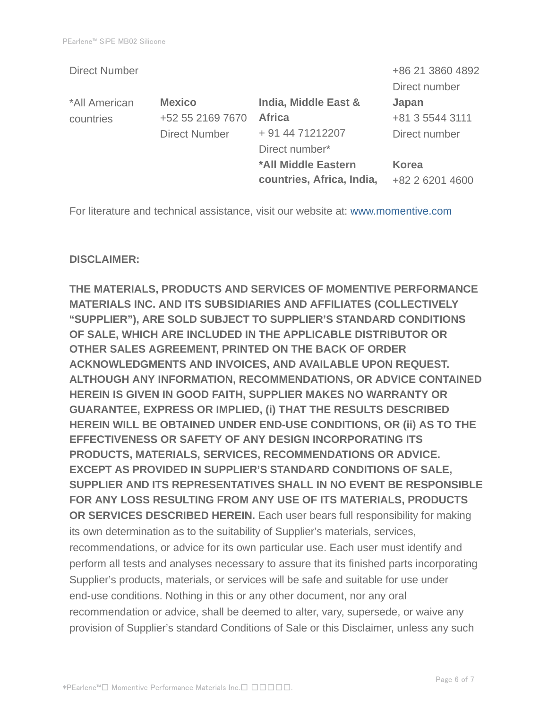|                      |                           | +86 21 3860 4892 |
|----------------------|---------------------------|------------------|
|                      |                           | Direct number    |
| <b>Mexico</b>        | India, Middle East &      | Japan            |
| +52 55 2169 7670     | <b>Africa</b>             | +81 3 5544 3111  |
| <b>Direct Number</b> | + 91 44 71212207          | Direct number    |
|                      | Direct number*            |                  |
|                      | *All Middle Eastern       | <b>Korea</b>     |
|                      | countries, Africa, India, | +82 2 6201 4600  |
|                      |                           |                  |

For literature and technical assistance, visit our website at: www.momentive.com

#### **DISCLAIMER:**

**THE MATERIALS, PRODUCTS AND SERVICES OF MOMENTIVE PERFORMANCE MATERIALS INC. AND ITS SUBSIDIARIES AND AFFILIATES (COLLECTIVELY "SUPPLIER"), ARE SOLD SUBJECT TO SUPPLIER'S STANDARD CONDITIONS OF SALE, WHICH ARE INCLUDED IN THE APPLICABLE DISTRIBUTOR OR OTHER SALES AGREEMENT, PRINTED ON THE BACK OF ORDER ACKNOWLEDGMENTS AND INVOICES, AND AVAILABLE UPON REQUEST. ALTHOUGH ANY INFORMATION, RECOMMENDATIONS, OR ADVICE CONTAINED HEREIN IS GIVEN IN GOOD FAITH, SUPPLIER MAKES NO WARRANTY OR GUARANTEE, EXPRESS OR IMPLIED, (i) THAT THE RESULTS DESCRIBED HEREIN WILL BE OBTAINED UNDER END-USE CONDITIONS, OR (ii) AS TO THE EFFECTIVENESS OR SAFETY OF ANY DESIGN INCORPORATING ITS PRODUCTS, MATERIALS, SERVICES, RECOMMENDATIONS OR ADVICE. EXCEPT AS PROVIDED IN SUPPLIER'S STANDARD CONDITIONS OF SALE, SUPPLIER AND ITS REPRESENTATIVES SHALL IN NO EVENT BE RESPONSIBLE FOR ANY LOSS RESULTING FROM ANY USE OF ITS MATERIALS, PRODUCTS OR SERVICES DESCRIBED HEREIN.** Each user bears full responsibility for making its own determination as to the suitability of Supplier's materials, services, recommendations, or advice for its own particular use. Each user must identify and perform all tests and analyses necessary to assure that its finished parts incorporating Supplier's products, materials, or services will be safe and suitable for use under end-use conditions. Nothing in this or any other document, nor any oral recommendation or advice, shall be deemed to alter, vary, supersede, or waive any provision of Supplier's standard Conditions of Sale or this Disclaimer, unless any such